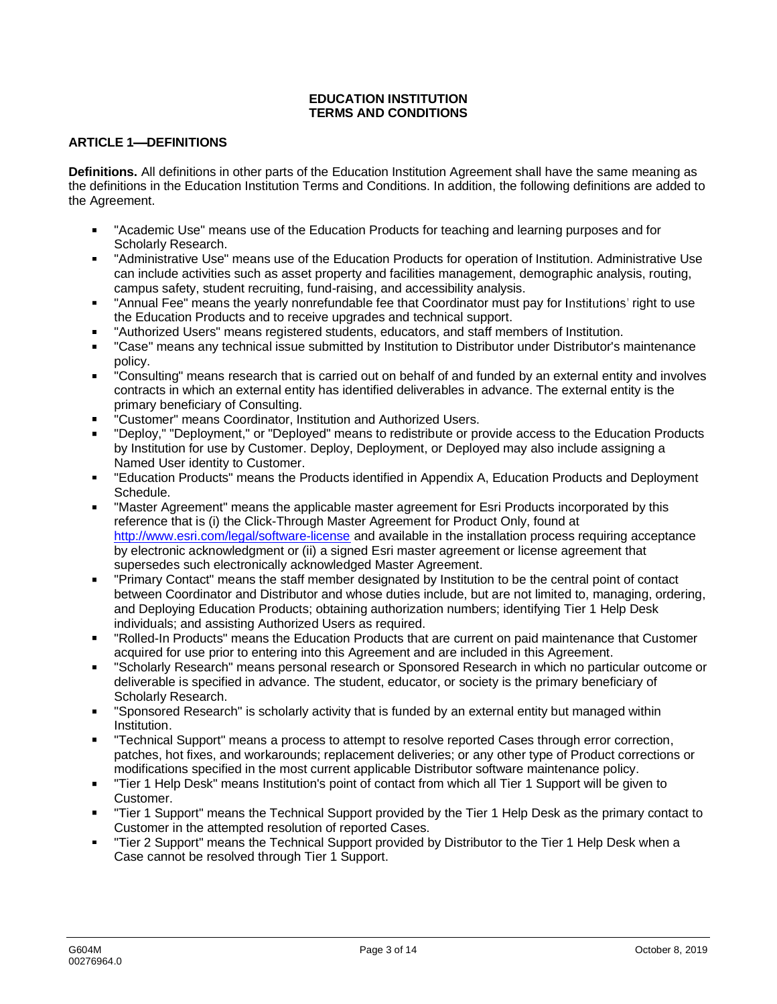## **EDUCATION INSTITUTION TERMS AND CONDITIONS**

## **ARTICLE 1-DEFINITIONS**

**Definitions.** All definitions in other parts of the Education Institution Agreement shall have the same meaning as the definitions in the Education Institution Terms and Conditions. In addition, the following definitions are added to the Agreement.

- "Academic Use" means use of the Education Products for teaching and learning purposes and for Scholarly Research.
- "Administrative Use" means use of the Education Products for operation of Institution. Administrative Use can include activities such as asset property and facilities management, demographic analysis, routing, campus safety, student recruiting, fund-raising, and accessibility analysis.
- "Annual Fee" means the yearly nonrefundable fee that Coordinator must pay for Institutions' right to use the Education Products and to receive upgrades and technical support.
- "Authorized Users" means registered students, educators, and staff members of Institution.
- "Case" means any technical issue submitted by Institution to Distributor under Distributor's maintenance policy.
- "Consulting" means research that is carried out on behalf of and funded by an external entity and involves contracts in which an external entity has identified deliverables in advance. The external entity is the primary beneficiary of Consulting.
- "Customer" means Coordinator, Institution and Authorized Users.
- "Deploy," "Deployment," or "Deployed" means to redistribute or provide access to the Education Products by Institution for use by Customer. Deploy, Deployment, or Deployed may also include assigning a Named User identity to Customer.
- "Education Products" means the Products identified in Appendix A, Education Products and Deployment Schedule.
- "Master Agreement" means the applicable master agreement for Esri Products incorporated by this reference that is (i) the Click-Through Master Agreement for Product Only, found at http://www.esri.com/legal/software-license and available in the installation process requiring acceptance by electronic acknowledgment or (ii) a signed Esri master agreement or license agreement that supersedes such electronically acknowledged Master Agreement.
- "Primary Contact" means the staff member designated by Institution to be the central point of contact between Coordinator and Distributor and whose duties include, but are not limited to, managing, ordering, and Deploying Education Products; obtaining authorization numbers; identifying Tier 1 Help Desk individuals; and assisting Authorized Users as required.
- "Rolled-In Products" means the Education Products that are current on paid maintenance that Customer acquired for use prior to entering into this Agreement and are included in this Agreement.
- "Scholarly Research" means personal research or Sponsored Research in which no particular outcome or deliverable is specified in advance. The student, educator, or society is the primary beneficiary of Scholarly Research.
- "Sponsored Research" is scholarly activity that is funded by an external entity but managed within Institution.
- "Technical Support" means a process to attempt to resolve reported Cases through error correction, patches, hot fixes, and workarounds; replacement deliveries; or any other type of Product corrections or modifications specified in the most current applicable Distributor software maintenance policy.
- "Tier 1 Help Desk" means Institution's point of contact from which all Tier 1 Support will be given to Customer.
- "Tier 1 Support" means the Technical Support provided by the Tier 1 Help Desk as the primary contact to Customer in the attempted resolution of reported Cases.
- "Tier 2 Support" means the Technical Support provided by Distributor to the Tier 1 Help Desk when a Case cannot be resolved through Tier 1 Support.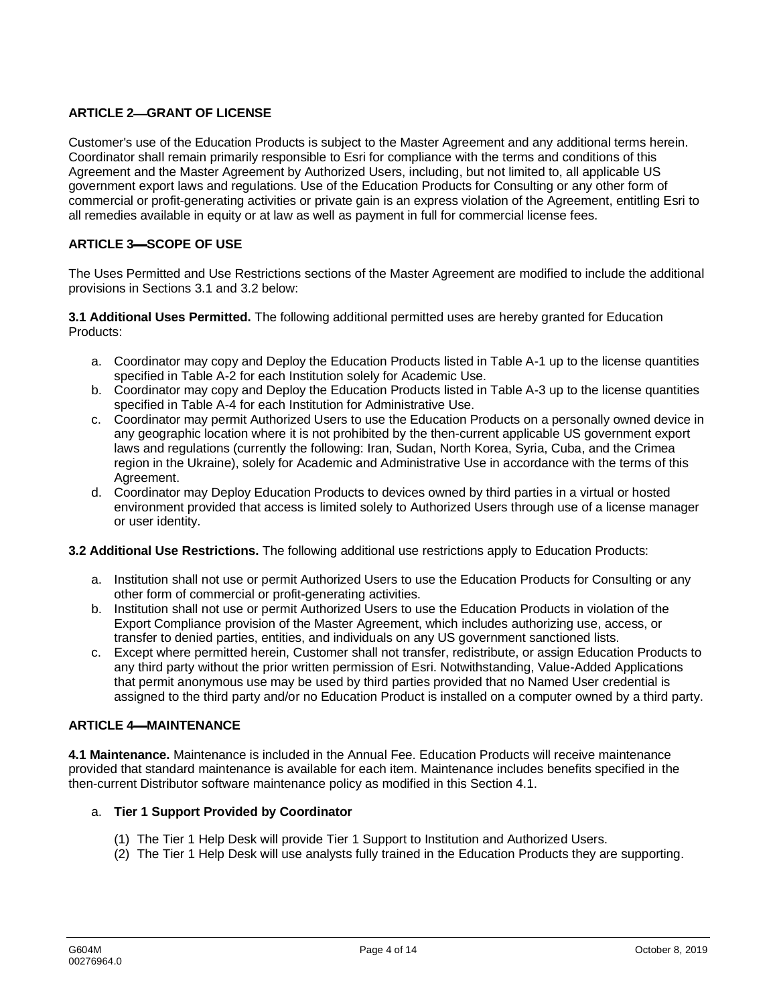## **ARTICLE 2-GRANT OF LICENSE**

Customer's use of the Education Products is subject to the Master Agreement and any additional terms herein. Coordinator shall remain primarily responsible to Esri for compliance with the terms and conditions of this Agreement and the Master Agreement by Authorized Users, including, but not limited to, all applicable US government export laws and regulations. Use of the Education Products for Consulting or any other form of commercial or profit-generating activities or private gain is an express violation of the Agreement, entitling Esri to all remedies available in equity or at law as well as payment in full for commercial license fees.

## **ARTICLE 3-SCOPE OF USE**

The Uses Permitted and Use Restrictions sections of the Master Agreement are modified to include the additional provisions in Sections 3.1 and 3.2 below:

**3.1 Additional Uses Permitted.** The following additional permitted uses are hereby granted for Education Products:

- a. Coordinator may copy and Deploy the Education Products listed in Table A-1 up to the license quantities specified in Table A-2 for each Institution solely for Academic Use.
- b. Coordinator may copy and Deploy the Education Products listed in Table A-3 up to the license quantities specified in Table A-4 for each Institution for Administrative Use.
- c. Coordinator may permit Authorized Users to use the Education Products on a personally owned device in any geographic location where it is not prohibited by the then-current applicable US government export laws and regulations (currently the following: Iran, Sudan, North Korea, Syria, Cuba, and the Crimea region in the Ukraine), solely for Academic and Administrative Use in accordance with the terms of this Agreement.
- d. Coordinator may Deploy Education Products to devices owned by third parties in a virtual or hosted environment provided that access is limited solely to Authorized Users through use of a license manager or user identity.

### **3.2 Additional Use Restrictions.** The following additional use restrictions apply to Education Products:

- a. Institution shall not use or permit Authorized Users to use the Education Products for Consulting or any other form of commercial or profit-generating activities.
- b. Institution shall not use or permit Authorized Users to use the Education Products in violation of the Export Compliance provision of the Master Agreement, which includes authorizing use, access, or transfer to denied parties, entities, and individuals on any US government sanctioned lists.
- c. Except where permitted herein, Customer shall not transfer, redistribute, or assign Education Products to any third party without the prior written permission of Esri. Notwithstanding, Value-Added Applications that permit anonymous use may be used by third parties provided that no Named User credential is assigned to the third party and/or no Education Product is installed on a computer owned by a third party.

## **ARTICLE 4 MAINTENANCE**

**4.1 Maintenance.** Maintenance is included in the Annual Fee. Education Products will receive maintenance provided that standard maintenance is available for each item. Maintenance includes benefits specified in the then-current Distributor software maintenance policy as modified in this Section 4.1.

### a. **Tier 1 Support Provided by Coordinator**

- (1) The Tier 1 Help Desk will provide Tier 1 Support to Institution and Authorized Users.
- (2) The Tier 1 Help Desk will use analysts fully trained in the Education Products they are supporting.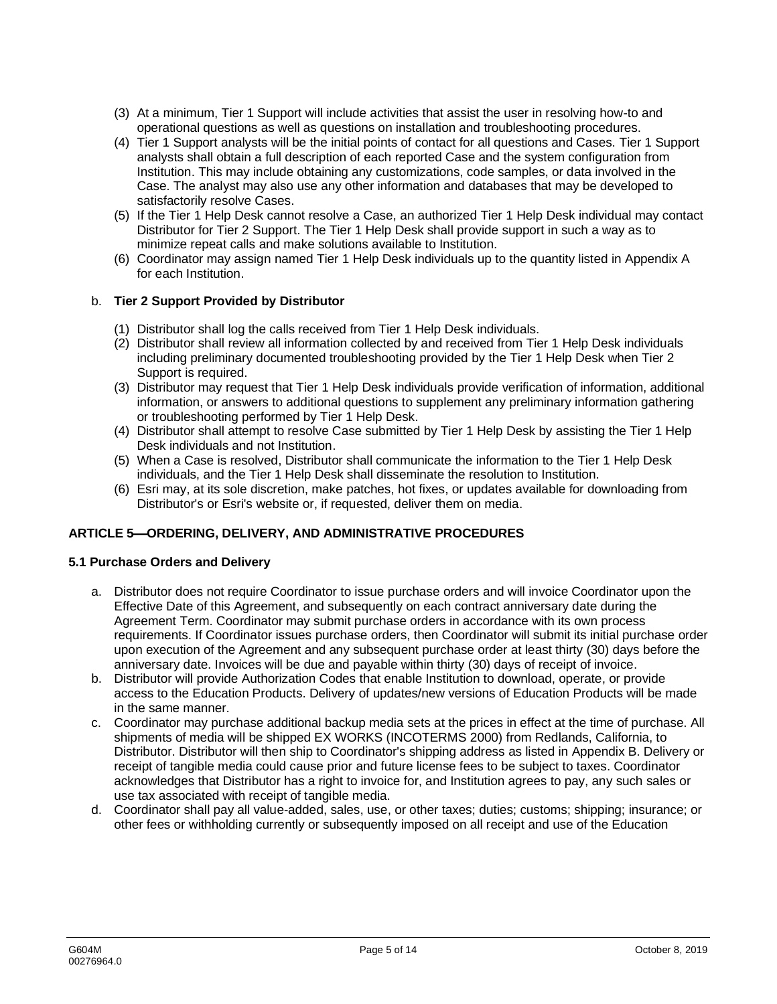- (3) At a minimum, Tier 1 Support will include activities that assist the user in resolving how-to and operational questions as well as questions on installation and troubleshooting procedures.
- (4) Tier 1 Support analysts will be the initial points of contact for all questions and Cases. Tier 1 Support analysts shall obtain a full description of each reported Case and the system configuration from Institution. This may include obtaining any customizations, code samples, or data involved in the Case. The analyst may also use any other information and databases that may be developed to satisfactorily resolve Cases.
- (5) If the Tier 1 Help Desk cannot resolve a Case, an authorized Tier 1 Help Desk individual may contact Distributor for Tier 2 Support. The Tier 1 Help Desk shall provide support in such a way as to minimize repeat calls and make solutions available to Institution.
- (6) Coordinator may assign named Tier 1 Help Desk individuals up to the quantity listed in Appendix A for each Institution.

## b. **Tier 2 Support Provided by Distributor**

- (1) Distributor shall log the calls received from Tier 1 Help Desk individuals.
- (2) Distributor shall review all information collected by and received from Tier 1 Help Desk individuals including preliminary documented troubleshooting provided by the Tier 1 Help Desk when Tier 2 Support is required.
- (3) Distributor may request that Tier 1 Help Desk individuals provide verification of information, additional information, or answers to additional questions to supplement any preliminary information gathering or troubleshooting performed by Tier 1 Help Desk.
- (4) Distributor shall attempt to resolve Case submitted by Tier 1 Help Desk by assisting the Tier 1 Help Desk individuals and not Institution.
- (5) When a Case is resolved, Distributor shall communicate the information to the Tier 1 Help Desk individuals, and the Tier 1 Help Desk shall disseminate the resolution to Institution.
- (6) Esri may, at its sole discretion, make patches, hot fixes, or updates available for downloading from Distributor's or Esri's website or, if requested, deliver them on media.

## **ARTICLE 5 ORDERING, DELIVERY, AND ADMINISTRATIVE PROCEDURES**

## **5.1 Purchase Orders and Delivery**

- a. Distributor does not require Coordinator to issue purchase orders and will invoice Coordinator upon the Effective Date of this Agreement, and subsequently on each contract anniversary date during the Agreement Term. Coordinator may submit purchase orders in accordance with its own process requirements. If Coordinator issues purchase orders, then Coordinator will submit its initial purchase order upon execution of the Agreement and any subsequent purchase order at least thirty (30) days before the anniversary date. Invoices will be due and payable within thirty (30) days of receipt of invoice.
- b. Distributor will provide Authorization Codes that enable Institution to download, operate, or provide access to the Education Products. Delivery of updates/new versions of Education Products will be made in the same manner.
- c. Coordinator may purchase additional backup media sets at the prices in effect at the time of purchase. All shipments of media will be shipped EX WORKS (INCOTERMS 2000) from Redlands, California, to Distributor. Distributor will then ship to Coordinator's shipping address as listed in Appendix B. Delivery or receipt of tangible media could cause prior and future license fees to be subject to taxes. Coordinator acknowledges that Distributor has a right to invoice for, and Institution agrees to pay, any such sales or use tax associated with receipt of tangible media.
- d. Coordinator shall pay all value-added, sales, use, or other taxes; duties; customs; shipping; insurance; or other fees or withholding currently or subsequently imposed on all receipt and use of the Education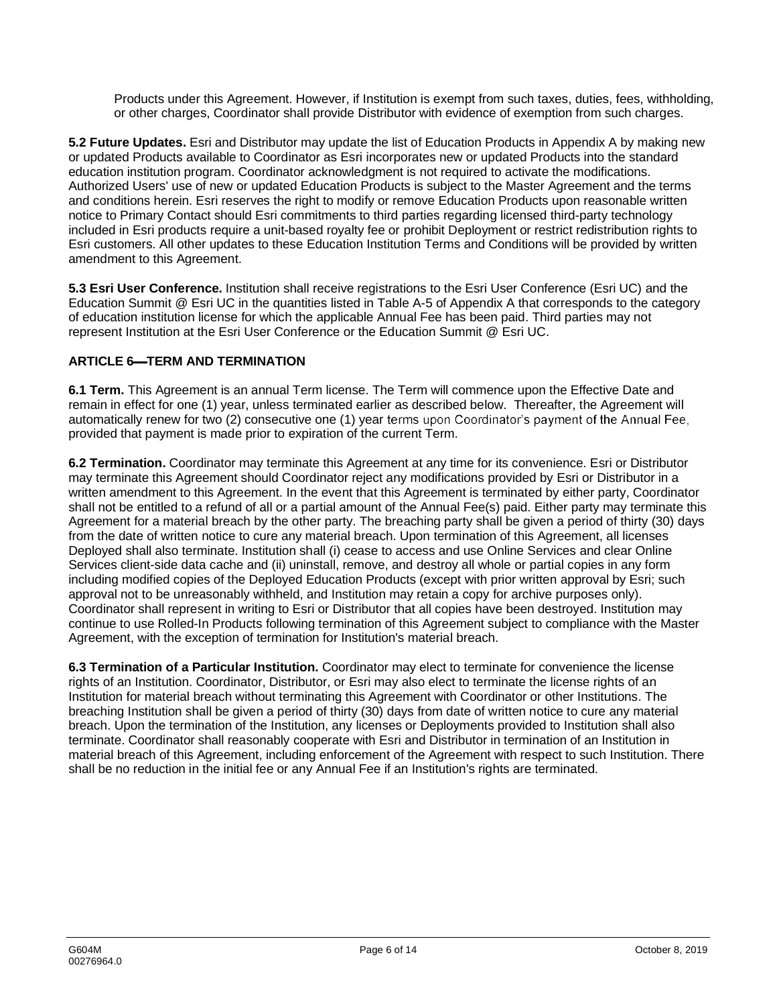Products under this Agreement. However, if Institution is exempt from such taxes, duties, fees, withholding, or other charges, Coordinator shall provide Distributor with evidence of exemption from such charges.

**5.2 Future Updates.** Esri and Distributor may update the list of Education Products in Appendix A by making new or updated Products available to Coordinator as Esri incorporates new or updated Products into the standard education institution program. Coordinator acknowledgment is not required to activate the modifications. Authorized Users' use of new or updated Education Products is subject to the Master Agreement and the terms and conditions herein. Esri reserves the right to modify or remove Education Products upon reasonable written notice to Primary Contact should Esri commitments to third parties regarding licensed third-party technology included in Esri products require a unit-based royalty fee or prohibit Deployment or restrict redistribution rights to Esri customers. All other updates to these Education Institution Terms and Conditions will be provided by written amendment to this Agreement.

**5.3 Esri User Conference.** Institution shall receive registrations to the Esri User Conference (Esri UC) and the Education Summit @ Esri UC in the quantities listed in Table A-5 of Appendix A that corresponds to the category of education institution license for which the applicable Annual Fee has been paid. Third parties may not represent Institution at the Esri User Conference or the Education Summit @ Esri UC.

## **ARTICLE 6-TERM AND TERMINATION**

**6.1 Term.** This Agreement is an annual Term license. The Term will commence upon the Effective Date and remain in effect for one (1) year, unless terminated earlier as described below. Thereafter, the Agreement will automatically renew for two (2) consecutive one (1) year terms upon Coordinator's payment of the Annual Fee, provided that payment is made prior to expiration of the current Term.

**6.2 Termination.** Coordinator may terminate this Agreement at any time for its convenience. Esri or Distributor may terminate this Agreement should Coordinator reject any modifications provided by Esri or Distributor in a written amendment to this Agreement. In the event that this Agreement is terminated by either party, Coordinator shall not be entitled to a refund of all or a partial amount of the Annual Fee(s) paid. Either party may terminate this Agreement for a material breach by the other party. The breaching party shall be given a period of thirty (30) days from the date of written notice to cure any material breach. Upon termination of this Agreement, all licenses Deployed shall also terminate. Institution shall (i) cease to access and use Online Services and clear Online Services client-side data cache and (ii) uninstall, remove, and destroy all whole or partial copies in any form including modified copies of the Deployed Education Products (except with prior written approval by Esri; such approval not to be unreasonably withheld, and Institution may retain a copy for archive purposes only). Coordinator shall represent in writing to Esri or Distributor that all copies have been destroyed. Institution may continue to use Rolled-In Products following termination of this Agreement subject to compliance with the Master Agreement, with the exception of termination for Institution's material breach.

**6.3 Termination of a Particular Institution.** Coordinator may elect to terminate for convenience the license rights of an Institution. Coordinator, Distributor, or Esri may also elect to terminate the license rights of an Institution for material breach without terminating this Agreement with Coordinator or other Institutions. The breaching Institution shall be given a period of thirty (30) days from date of written notice to cure any material breach. Upon the termination of the Institution, any licenses or Deployments provided to Institution shall also terminate. Coordinator shall reasonably cooperate with Esri and Distributor in termination of an Institution in material breach of this Agreement, including enforcement of the Agreement with respect to such Institution. There shall be no reduction in the initial fee or any Annual Fee if an Institution's rights are terminated.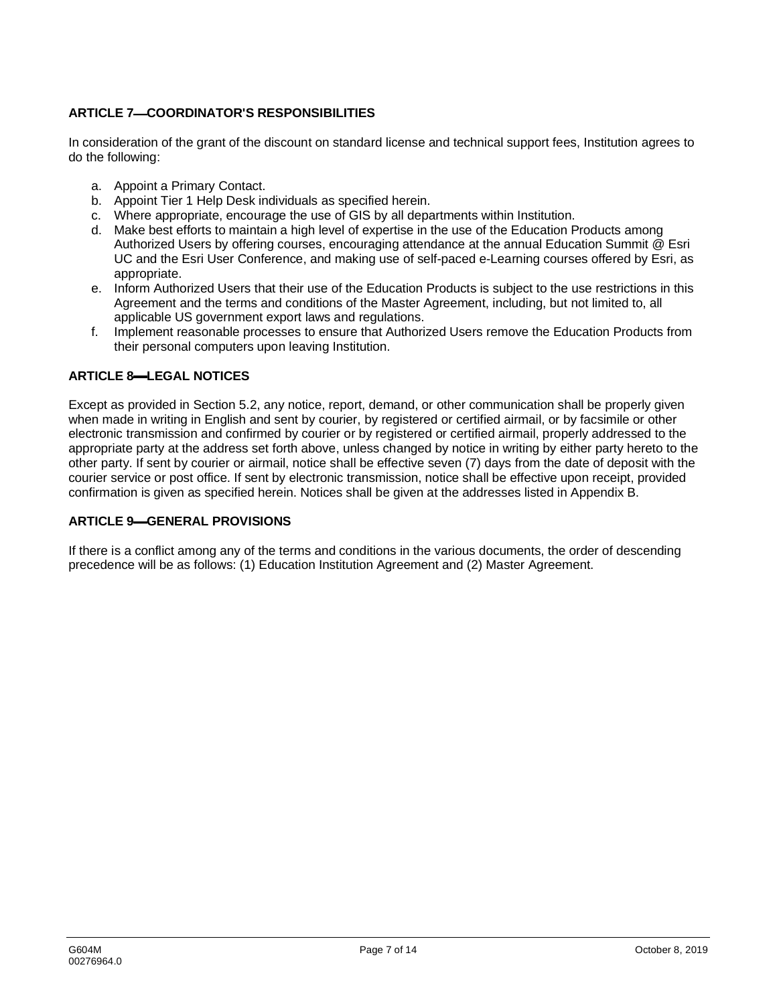## **ARTICLE 7 COORDINATOR'S RESPONSIBILITIES**

In consideration of the grant of the discount on standard license and technical support fees, Institution agrees to do the following:

- a. Appoint a Primary Contact.
- b. Appoint Tier 1 Help Desk individuals as specified herein.
- c. Where appropriate, encourage the use of GIS by all departments within Institution.
- d. Make best efforts to maintain a high level of expertise in the use of the Education Products among Authorized Users by offering courses, encouraging attendance at the annual Education Summit @ Esri UC and the Esri User Conference, and making use of self-paced e-Learning courses offered by Esri, as appropriate.
- e. Inform Authorized Users that their use of the Education Products is subject to the use restrictions in this Agreement and the terms and conditions of the Master Agreement, including, but not limited to, all applicable US government export laws and regulations.
- f. Implement reasonable processes to ensure that Authorized Users remove the Education Products from their personal computers upon leaving Institution.

## **ARTICLE 8 LEGAL NOTICES**

Except as provided in Section 5.2, any notice, report, demand, or other communication shall be properly given when made in writing in English and sent by courier, by registered or certified airmail, or by facsimile or other electronic transmission and confirmed by courier or by registered or certified airmail, properly addressed to the appropriate party at the address set forth above, unless changed by notice in writing by either party hereto to the other party. If sent by courier or airmail, notice shall be effective seven (7) days from the date of deposit with the courier service or post office. If sent by electronic transmission, notice shall be effective upon receipt, provided confirmation is given as specified herein. Notices shall be given at the addresses listed in Appendix B.

### **ARTICLE 9 GENERAL PROVISIONS**

If there is a conflict among any of the terms and conditions in the various documents, the order of descending precedence will be as follows: (1) Education Institution Agreement and (2) Master Agreement.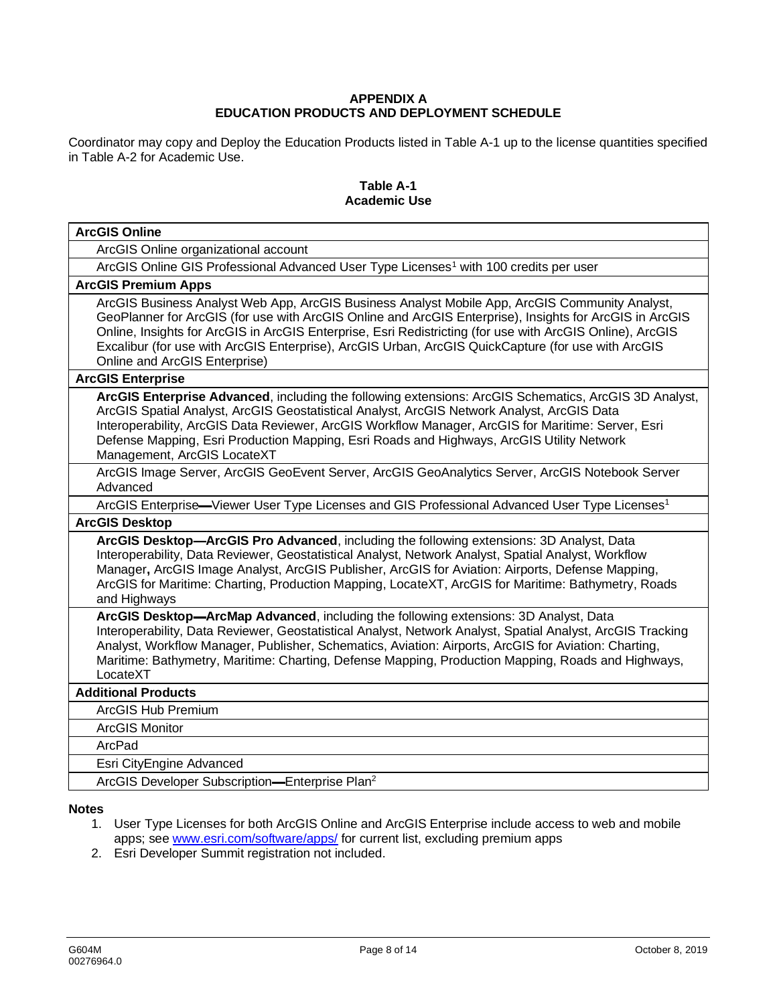## **APPENDIX A EDUCATION PRODUCTS AND DEPLOYMENT SCHEDULE**

Coordinator may copy and Deploy the Education Products listed in Table A-1 up to the license quantities specified in Table A-2 for Academic Use.

### **Table A-1 Academic Use**

| <b>ArcGIS Online</b>                                                                                                                                                                                                                                                                                                                                                                                                                                          |  |  |
|---------------------------------------------------------------------------------------------------------------------------------------------------------------------------------------------------------------------------------------------------------------------------------------------------------------------------------------------------------------------------------------------------------------------------------------------------------------|--|--|
| ArcGIS Online organizational account                                                                                                                                                                                                                                                                                                                                                                                                                          |  |  |
| ArcGIS Online GIS Professional Advanced User Type Licenses <sup>1</sup> with 100 credits per user                                                                                                                                                                                                                                                                                                                                                             |  |  |
| <b>ArcGIS Premium Apps</b>                                                                                                                                                                                                                                                                                                                                                                                                                                    |  |  |
| ArcGIS Business Analyst Web App, ArcGIS Business Analyst Mobile App, ArcGIS Community Analyst,<br>GeoPlanner for ArcGIS (for use with ArcGIS Online and ArcGIS Enterprise), Insights for ArcGIS in ArcGIS<br>Online, Insights for ArcGIS in ArcGIS Enterprise, Esri Redistricting (for use with ArcGIS Online), ArcGIS<br>Excalibur (for use with ArcGIS Enterprise), ArcGIS Urban, ArcGIS QuickCapture (for use with ArcGIS<br>Online and ArcGIS Enterprise) |  |  |
| <b>ArcGIS Enterprise</b>                                                                                                                                                                                                                                                                                                                                                                                                                                      |  |  |
| ArcGIS Enterprise Advanced, including the following extensions: ArcGIS Schematics, ArcGIS 3D Analyst,<br>ArcGIS Spatial Analyst, ArcGIS Geostatistical Analyst, ArcGIS Network Analyst, ArcGIS Data<br>Interoperability, ArcGIS Data Reviewer, ArcGIS Workflow Manager, ArcGIS for Maritime: Server, Esri<br>Defense Mapping, Esri Production Mapping, Esri Roads and Highways, ArcGIS Utility Network<br>Management, ArcGIS LocateXT                         |  |  |
| ArcGIS Image Server, ArcGIS GeoEvent Server, ArcGIS GeoAnalytics Server, ArcGIS Notebook Server<br>Advanced                                                                                                                                                                                                                                                                                                                                                   |  |  |
| ArcGIS Enterprise—Viewer User Type Licenses and GIS Professional Advanced User Type Licenses <sup>1</sup>                                                                                                                                                                                                                                                                                                                                                     |  |  |
| <b>ArcGIS Desktop</b>                                                                                                                                                                                                                                                                                                                                                                                                                                         |  |  |
| ArcGIS Desktop-ArcGIS Pro Advanced, including the following extensions: 3D Analyst, Data<br>Interoperability, Data Reviewer, Geostatistical Analyst, Network Analyst, Spatial Analyst, Workflow<br>Manager, ArcGIS Image Analyst, ArcGIS Publisher, ArcGIS for Aviation: Airports, Defense Mapping,<br>ArcGIS for Maritime: Charting, Production Mapping, LocateXT, ArcGIS for Maritime: Bathymetry, Roads<br>and Highways                                    |  |  |
| ArcGIS Desktop-ArcMap Advanced, including the following extensions: 3D Analyst, Data<br>Interoperability, Data Reviewer, Geostatistical Analyst, Network Analyst, Spatial Analyst, ArcGIS Tracking<br>Analyst, Workflow Manager, Publisher, Schematics, Aviation: Airports, ArcGIS for Aviation: Charting,<br>Maritime: Bathymetry, Maritime: Charting, Defense Mapping, Production Mapping, Roads and Highways,<br>LocateXT                                  |  |  |
| <b>Additional Products</b>                                                                                                                                                                                                                                                                                                                                                                                                                                    |  |  |
| ArcGIS Hub Premium                                                                                                                                                                                                                                                                                                                                                                                                                                            |  |  |
| <b>ArcGIS Monitor</b>                                                                                                                                                                                                                                                                                                                                                                                                                                         |  |  |
| ArcPad                                                                                                                                                                                                                                                                                                                                                                                                                                                        |  |  |
| Esri CityEngine Advanced                                                                                                                                                                                                                                                                                                                                                                                                                                      |  |  |
| ArcGIS Developer Subscription-Enterprise Plan <sup>2</sup>                                                                                                                                                                                                                                                                                                                                                                                                    |  |  |

## **Notes**

- 1. User Type Licenses for both ArcGIS Online and ArcGIS Enterprise include access to web and mobile apps; see www.esri.com/software/apps/ for current list, excluding premium apps
- 2. Esri Developer Summit registration not included.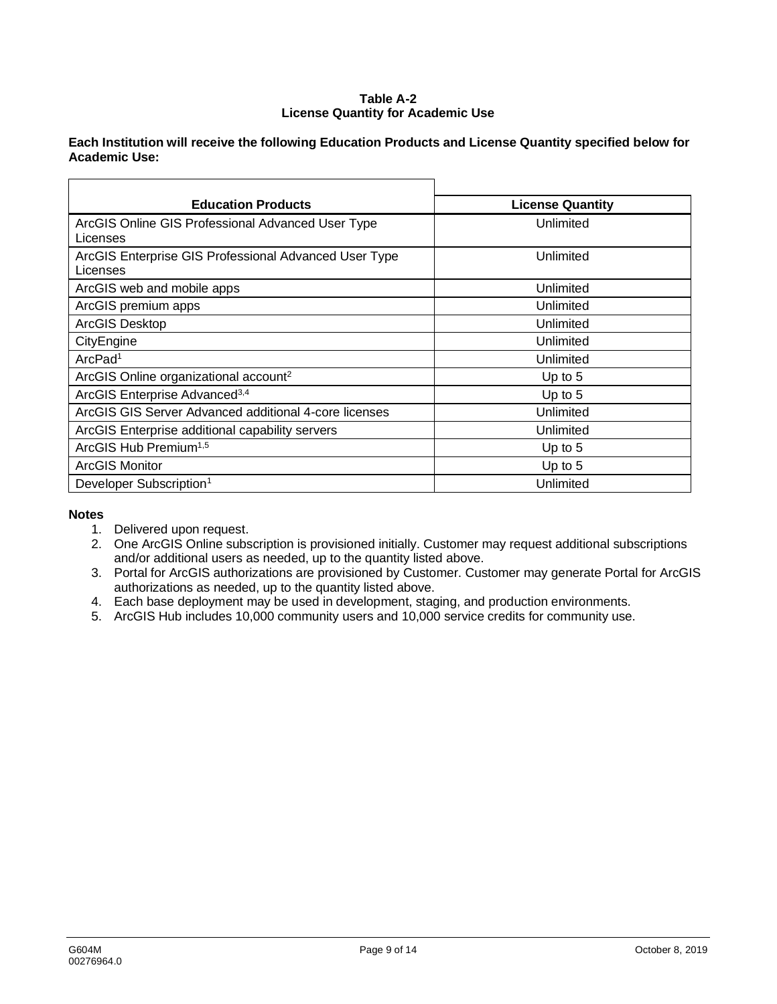### **Table A-2 License Quantity for Academic Use**

## **Each Institution will receive the following Education Products and License Quantity specified below for Academic Use:**

| <b>Education Products</b>                                         | <b>License Quantity</b> |  |
|-------------------------------------------------------------------|-------------------------|--|
| ArcGIS Online GIS Professional Advanced User Type<br>Licenses     | Unlimited               |  |
| ArcGIS Enterprise GIS Professional Advanced User Type<br>Licenses | Unlimited               |  |
| ArcGIS web and mobile apps                                        | Unlimited               |  |
| ArcGIS premium apps                                               | Unlimited               |  |
| <b>ArcGIS Desktop</b>                                             | Unlimited               |  |
| CityEngine                                                        | Unlimited               |  |
| ArcPad <sup>1</sup>                                               | Unlimited               |  |
| ArcGIS Online organizational account <sup>2</sup>                 | Up to $5$               |  |
| ArcGIS Enterprise Advanced <sup>3,4</sup>                         | Up to $5$               |  |
| ArcGIS GIS Server Advanced additional 4-core licenses             | Unlimited               |  |
| ArcGIS Enterprise additional capability servers                   | Unlimited               |  |
| ArcGIS Hub Premium <sup>1,5</sup>                                 | Up to $5$               |  |
| <b>ArcGIS Monitor</b>                                             | Up to $5$               |  |
| Developer Subscription <sup>1</sup>                               | Unlimited               |  |

## **Notes**

- 1. Delivered upon request.
- 2. One ArcGIS Online subscription is provisioned initially. Customer may request additional subscriptions and/or additional users as needed, up to the quantity listed above.
- 3. Portal for ArcGIS authorizations are provisioned by Customer. Customer may generate Portal for ArcGIS authorizations as needed, up to the quantity listed above.
- 4. Each base deployment may be used in development, staging, and production environments.
- 5. ArcGIS Hub includes 10,000 community users and 10,000 service credits for community use.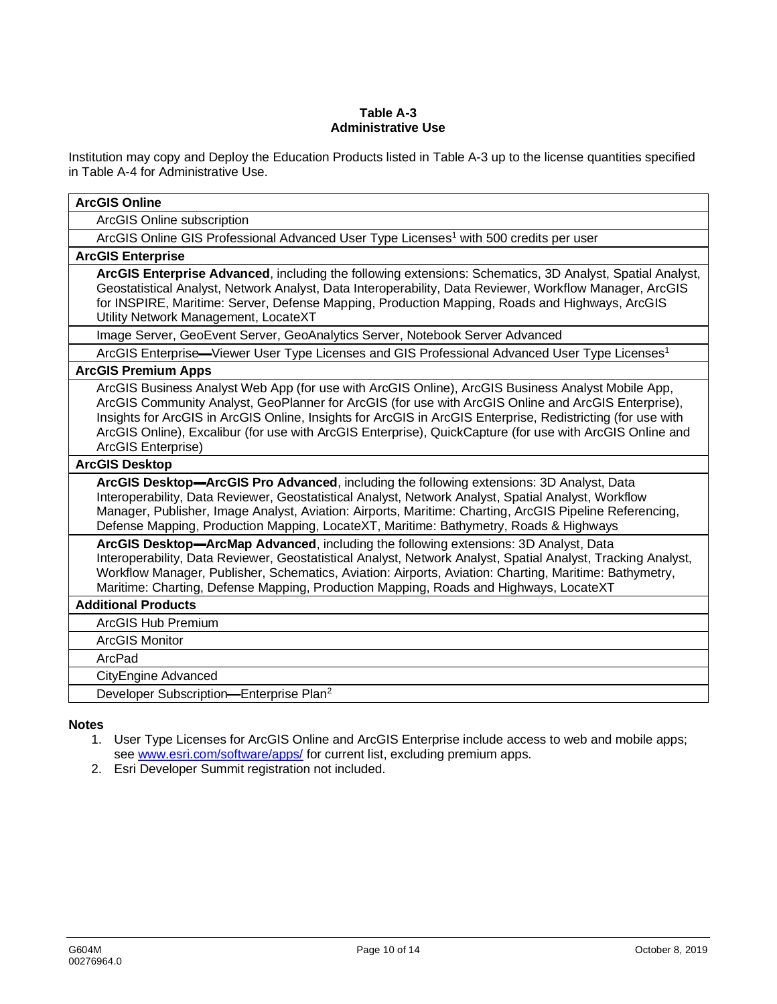### **Table A-3 Administrative Use**

Institution may copy and Deploy the Education Products listed in Table A-3 up to the license quantities specified in Table A-4 for Administrative Use.

| <b>ArcGIS Online</b>                                                                                                                                                                                                                                                                                                                                                                                                                                      |
|-----------------------------------------------------------------------------------------------------------------------------------------------------------------------------------------------------------------------------------------------------------------------------------------------------------------------------------------------------------------------------------------------------------------------------------------------------------|
| ArcGIS Online subscription                                                                                                                                                                                                                                                                                                                                                                                                                                |
| ArcGIS Online GIS Professional Advanced User Type Licenses <sup>1</sup> with 500 credits per user                                                                                                                                                                                                                                                                                                                                                         |
| <b>ArcGIS Enterprise</b>                                                                                                                                                                                                                                                                                                                                                                                                                                  |
| ArcGIS Enterprise Advanced, including the following extensions: Schematics, 3D Analyst, Spatial Analyst,<br>Geostatistical Analyst, Network Analyst, Data Interoperability, Data Reviewer, Workflow Manager, ArcGIS<br>for INSPIRE, Maritime: Server, Defense Mapping, Production Mapping, Roads and Highways, ArcGIS<br>Utility Network Management, LocateXT                                                                                             |
| Image Server, GeoEvent Server, GeoAnalytics Server, Notebook Server Advanced                                                                                                                                                                                                                                                                                                                                                                              |
| ArcGIS Enterprise—Viewer User Type Licenses and GIS Professional Advanced User Type Licenses <sup>1</sup>                                                                                                                                                                                                                                                                                                                                                 |
| <b>ArcGIS Premium Apps</b>                                                                                                                                                                                                                                                                                                                                                                                                                                |
| ArcGIS Business Analyst Web App (for use with ArcGIS Online), ArcGIS Business Analyst Mobile App,<br>ArcGIS Community Analyst, GeoPlanner for ArcGIS (for use with ArcGIS Online and ArcGIS Enterprise),<br>Insights for ArcGIS in ArcGIS Online, Insights for ArcGIS in ArcGIS Enterprise, Redistricting (for use with<br>ArcGIS Online), Excalibur (for use with ArcGIS Enterprise), QuickCapture (for use with ArcGIS Online and<br>ArcGIS Enterprise) |
| <b>ArcGIS Desktop</b>                                                                                                                                                                                                                                                                                                                                                                                                                                     |
| ArcGIS Desktop-ArcGIS Pro Advanced, including the following extensions: 3D Analyst, Data<br>Interoperability, Data Reviewer, Geostatistical Analyst, Network Analyst, Spatial Analyst, Workflow<br>Manager, Publisher, Image Analyst, Aviation: Airports, Maritime: Charting, ArcGIS Pipeline Referencing,<br>Defense Mapping, Production Mapping, LocateXT, Maritime: Bathymetry, Roads & Highways                                                       |
| ArcGIS Desktop-ArcMap Advanced, including the following extensions: 3D Analyst, Data<br>Interoperability, Data Reviewer, Geostatistical Analyst, Network Analyst, Spatial Analyst, Tracking Analyst,<br>Workflow Manager, Publisher, Schematics, Aviation: Airports, Aviation: Charting, Maritime: Bathymetry,<br>Maritime: Charting, Defense Mapping, Production Mapping, Roads and Highways, LocateXT                                                   |
| <b>Additional Products</b>                                                                                                                                                                                                                                                                                                                                                                                                                                |
| ArcGIS Hub Premium                                                                                                                                                                                                                                                                                                                                                                                                                                        |
| <b>ArcGIS Monitor</b>                                                                                                                                                                                                                                                                                                                                                                                                                                     |
| ArcPad                                                                                                                                                                                                                                                                                                                                                                                                                                                    |
| <b>CityEngine Advanced</b>                                                                                                                                                                                                                                                                                                                                                                                                                                |
| Developer Subscription-Enterprise Plan <sup>2</sup>                                                                                                                                                                                                                                                                                                                                                                                                       |

### **Notes**

- 1. User Type Licenses for ArcGIS Online and ArcGIS Enterprise include access to web and mobile apps; see www.esri.com/software/apps/ for current list, excluding premium apps.
- 2. Esri Developer Summit registration not included.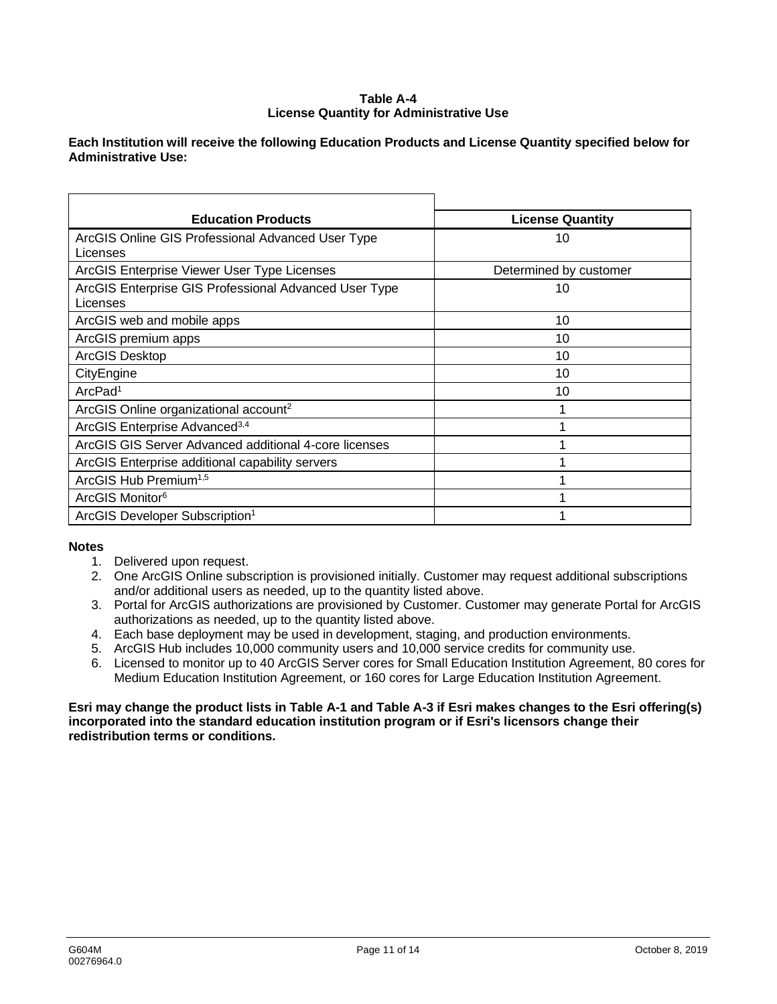### **Table A-4 License Quantity for Administrative Use**

### **Each Institution will receive the following Education Products and License Quantity specified below for Administrative Use:**

| <b>Education Products</b>                                         | <b>License Quantity</b> |
|-------------------------------------------------------------------|-------------------------|
| ArcGIS Online GIS Professional Advanced User Type<br>Licenses     | 10                      |
| ArcGIS Enterprise Viewer User Type Licenses                       | Determined by customer  |
| ArcGIS Enterprise GIS Professional Advanced User Type<br>Licenses | 10                      |
| ArcGIS web and mobile apps                                        | 10                      |
| ArcGIS premium apps                                               | 10                      |
| <b>ArcGIS Desktop</b>                                             | 10                      |
| CityEngine                                                        | 10                      |
| ArcPad <sup>1</sup>                                               | 10                      |
| ArcGIS Online organizational account <sup>2</sup>                 |                         |
| ArcGIS Enterprise Advanced <sup>3,4</sup>                         |                         |
| ArcGIS GIS Server Advanced additional 4-core licenses             |                         |
| ArcGIS Enterprise additional capability servers                   |                         |
| ArcGIS Hub Premium <sup>1,5</sup>                                 |                         |
| ArcGIS Monitor <sup>6</sup>                                       |                         |
| ArcGIS Developer Subscription <sup>1</sup>                        |                         |

### **Notes**

- 1. Delivered upon request.
- 2. One ArcGIS Online subscription is provisioned initially. Customer may request additional subscriptions and/or additional users as needed, up to the quantity listed above.
- 3. Portal for ArcGIS authorizations are provisioned by Customer. Customer may generate Portal for ArcGIS authorizations as needed, up to the quantity listed above.
- 4. Each base deployment may be used in development, staging, and production environments.
- 5. ArcGIS Hub includes 10,000 community users and 10,000 service credits for community use.
- 6. Licensed to monitor up to 40 ArcGIS Server cores for Small Education Institution Agreement, 80 cores for Medium Education Institution Agreement, or 160 cores for Large Education Institution Agreement.

### **Esri may change the product lists in Table A-1 and Table A-3 if Esri makes changes to the Esri offering(s) incorporated into the standard education institution program or if Esri's licensors change their redistribution terms or conditions.**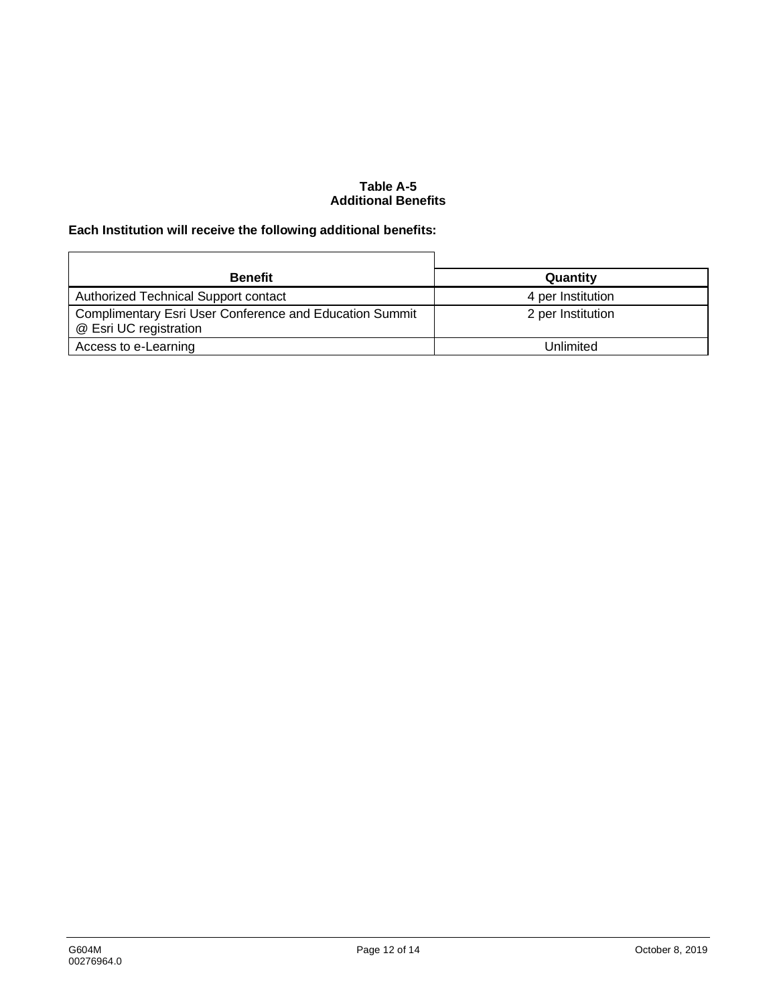### **Table A-5 Additional Benefits**

# **Each Institution will receive the following additional benefits:**

| <b>Benefit</b>                                                                    | Quantity          |
|-----------------------------------------------------------------------------------|-------------------|
| Authorized Technical Support contact                                              | 4 per Institution |
| Complimentary Esri User Conference and Education Summit<br>@ Esri UC registration | 2 per Institution |
| Access to e-Learning                                                              | Unlimited         |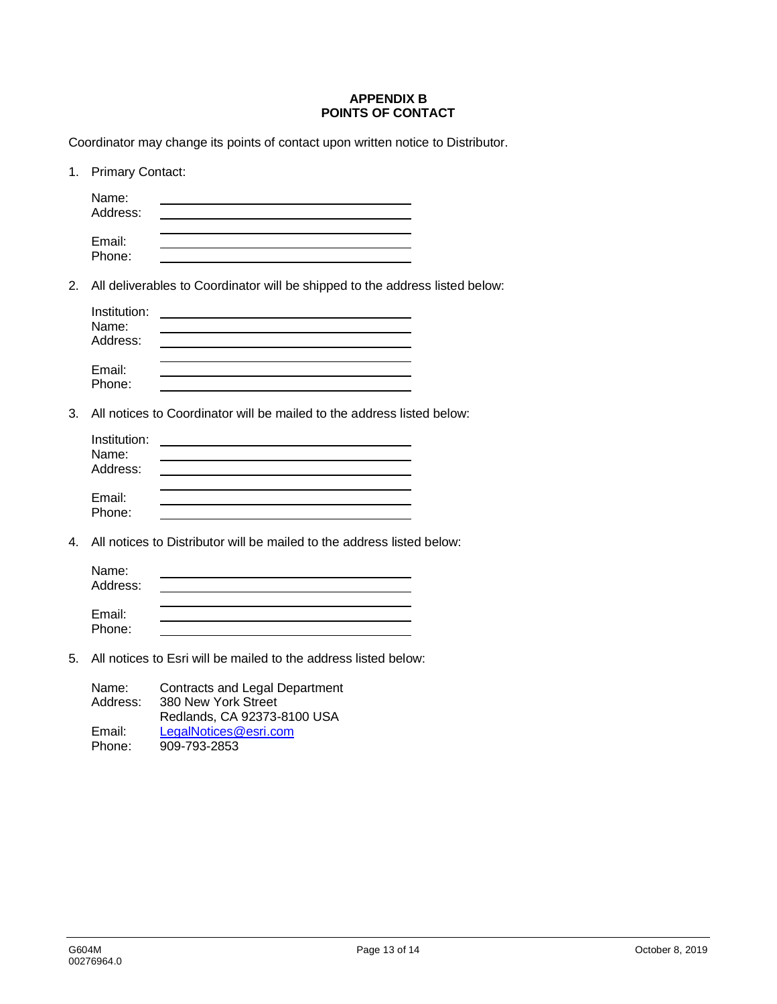### **APPENDIX B POINTS OF CONTACT**

Coordinator may change its points of contact upon written notice to Distributor.

| 1. | <b>Primary Contact:</b>           |                                                                                             |
|----|-----------------------------------|---------------------------------------------------------------------------------------------|
|    | Name:<br>Address:                 |                                                                                             |
|    | Email:<br>Phone:                  |                                                                                             |
| 2. |                                   | All deliverables to Coordinator will be shipped to the address listed below:                |
|    | Institution:<br>Name:<br>Address: |                                                                                             |
|    | Email:<br>Phone:                  |                                                                                             |
| 3. |                                   | All notices to Coordinator will be mailed to the address listed below:                      |
|    | Institution:<br>Name:<br>Address: |                                                                                             |
|    | Email:<br>Phone:                  |                                                                                             |
| 4. |                                   | All notices to Distributor will be mailed to the address listed below:                      |
|    | Name:<br>Address:                 |                                                                                             |
|    | Email:<br>Phone:                  |                                                                                             |
| 5. |                                   | All notices to Esri will be mailed to the address listed below:                             |
|    | Name:<br>Address:                 | <b>Contracts and Legal Department</b><br>380 New York Street<br>Redlands, CA 92373-8100 USA |

Email: LegalNotices@esri.com<br>Phone: 909-793-2853 Phone: 909-793-2853